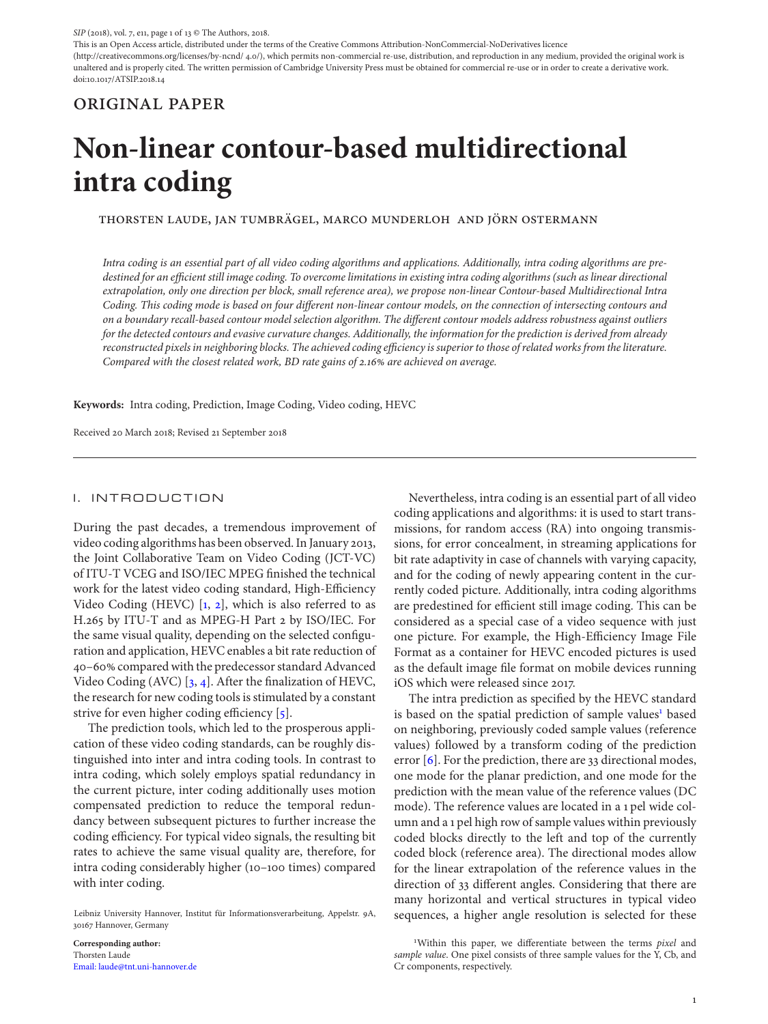This is an Open Access article, distributed under the terms of the Creative Commons Attribution-NonCommercial-NoDerivatives licence (http://creativecommons.org/licenses/by-ncnd/ 4.0/), which permits non-commercial re-use, distribution, and reproduction in any medium, provided the original work is unaltered and is properly cited. The written permission of Cambridge University Press must be obtained for commercial re-use or in order to create a derivative work. doi:10.1017/ATSIP.2018.14

## original paper

# **Non-linear contour-based multidirectional intra coding**

thorsten laude, jan tumbrägel, marco munderloh and jörn ostermann

*Intra coding is an essential part of all video coding algorithms and applications. Additionally, intra coding algorithms are predestined for an efficient still image coding. To overcome limitations in existing intra coding algorithms (such as linear directional extrapolation, only one direction per block, small reference area), we propose non-linear Contour-based Multidirectional Intra Coding. This coding mode is based on four different non-linear contour models, on the connection of intersecting contours and on a boundary recall-based contour model selection algorithm. The different contour models address robustness against outliers for the detected contours and evasive curvature changes. Additionally, the information for the prediction is derived from already reconstructed pixels in neighboring blocks. The achieved coding efficiency is superior to those of related works from the literature. Compared with the closest related work, BD rate gains of 2.16 are achieved on average.*

**Keywords:** Intra coding, Prediction, Image Coding, Video coding, HEVC

Received 20 March 2018; Revised 21 September 2018

#### I. INTRODUCTION

During the past decades, a tremendous improvement of video coding algorithms has been observed. In January 2013, the Joint Collaborative Team on Video Coding (JCT-VC) of ITU-T VCEG and ISO/IEC MPEG finished the technical work for the latest video coding standard, High-Efficiency Video Coding (HEVC)  $[1, 2]$  $[1, 2]$  $[1, 2]$ , which is also referred to as H.265 by ITU-T and as MPEG-H Part 2 by ISO/IEC. For the same visual quality, depending on the selected configuration and application, HEVC enables a bit rate reduction of 40-60% compared with the predecessor standard Advanced Video Coding (AVC) [\[3,](#page-10-2) [4\]](#page-10-3). After the finalization of HEVC, the research for new coding tools is stimulated by a constant strive for even higher coding efficiency [\[5\]](#page-11-0).

The prediction tools, which led to the prosperous application of these video coding standards, can be roughly distinguished into inter and intra coding tools. In contrast to intra coding, which solely employs spatial redundancy in the current picture, inter coding additionally uses motion compensated prediction to reduce the temporal redundancy between subsequent pictures to further increase the coding efficiency. For typical video signals, the resulting bit rates to achieve the same visual quality are, therefore, for intra coding considerably higher (10–100 times) compared with inter coding.

Leibniz University Hannover, Institut für Informationsverarbeitung, Appelstr. 9A, 30167 Hannover, Germany

**Corresponding author:** Thorsten Laude [Email: laude@tnt.uni-hannover.de](mailto:laude@tnt.uni-hannover.de)

Nevertheless, intra coding is an essential part of all video coding applications and algorithms: it is used to start transmissions, for random access (RA) into ongoing transmissions, for error concealment, in streaming applications for bit rate adaptivity in case of channels with varying capacity, and for the coding of newly appearing content in the currently coded picture. Additionally, intra coding algorithms are predestined for efficient still image coding. This can be considered as a special case of a video sequence with just one picture. For example, the High-Efficiency Image File Format as a container for HEVC encoded pictures is used as the default image file format on mobile devices running iOS which were released since 2017.

The intra prediction as specified by the HEVC standard is based on the spatial prediction of sample values<sup>1</sup> based on neighboring, previously coded sample values (reference values) followed by a transform coding of the prediction error  $[6]$ . For the prediction, there are 33 directional modes, one mode for the planar prediction, and one mode for the prediction with the mean value of the reference values (DC mode). The reference values are located in a 1 pel wide column and a 1 pel high row of sample values within previously coded blocks directly to the left and top of the currently coded block (reference area). The directional modes allow for the linear extrapolation of the reference values in the direction of 33 different angles. Considering that there are many horizontal and vertical structures in typical video sequences, a higher angle resolution is selected for these

<span id="page-0-0"></span><sup>1</sup> Within this paper, we differentiate between the terms *pixel* and *sample value*. One pixel consists of three sample values for the Y, Cb, and Cr components, respectively.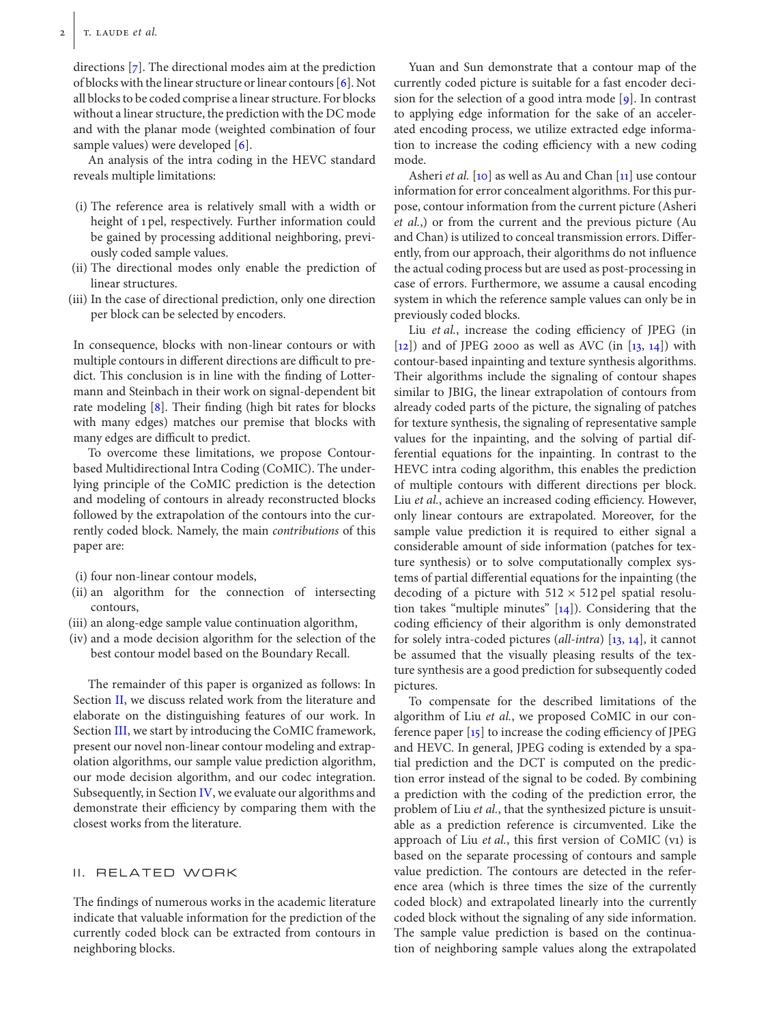directions [\[7\]](#page-11-2). The directional modes aim at the prediction of blocks with the linear structure or linear contours [\[6\]](#page-11-1). Not all blocks to be coded comprise a linear structure. For blocks without a linear structure, the prediction with the DC mode and with the planar mode (weighted combination of four sample values) were developed [\[6\]](#page-11-1).

An analysis of the intra coding in the HEVC standard reveals multiple limitations:

- (i) The reference area is relatively small with a width or height of 1 pel, respectively. Further information could be gained by processing additional neighboring, previously coded sample values.
- (ii) The directional modes only enable the prediction of linear structures.
- (iii) In the case of directional prediction, only one direction per block can be selected by encoders.

In consequence, blocks with non-linear contours or with multiple contours in different directions are difficult to predict. This conclusion is in line with the finding of Lottermann and Steinbach in their work on signal-dependent bit rate modeling [\[8\]](#page-11-3). Their finding (high bit rates for blocks with many edges) matches our premise that blocks with many edges are difficult to predict.

To overcome these limitations, we propose Contourbased Multidirectional Intra Coding (CoMIC). The underlying principle of the CoMIC prediction is the detection and modeling of contours in already reconstructed blocks followed by the extrapolation of the contours into the currently coded block. Namely, the main *contributions* of this paper are:

- (i) four non-linear contour models,
- (ii) an algorithm for the connection of intersecting contours,
- (iii) an along-edge sample value continuation algorithm,
- (iv) and a mode decision algorithm for the selection of the best contour model based on the Boundary Recall.

The remainder of this paper is organized as follows: In Section [II,](#page-1-0) we discuss related work from the literature and elaborate on the distinguishing features of our work. In Section [III,](#page-2-0) we start by introducing the CoMIC framework, present our novel non-linear contour modeling and extrapolation algorithms, our sample value prediction algorithm, our mode decision algorithm, and our codec integration. Subsequently, in Section [IV,](#page-8-0) we evaluate our algorithms and demonstrate their efficiency by comparing them with the closest works from the literature.

#### <span id="page-1-0"></span>II. RELATED WORK

The findings of numerous works in the academic literature indicate that valuable information for the prediction of the currently coded block can be extracted from contours in neighboring blocks.

Yuan and Sun demonstrate that a contour map of the currently coded picture is suitable for a fast encoder decision for the selection of a good intra mode [\[9\]](#page-11-4). In contrast to applying edge information for the sake of an accelerated encoding process, we utilize extracted edge information to increase the coding efficiency with a new coding mode.

Asheri *et al.* [\[10\]](#page-11-5) as well as Au and Chan [\[11\]](#page-11-6) use contour information for error concealment algorithms. For this purpose, contour information from the current picture (Asheri *et al.*,) or from the current and the previous picture (Au and Chan) is utilized to conceal transmission errors. Differently, from our approach, their algorithms do not influence the actual coding process but are used as post-processing in case of errors. Furthermore, we assume a causal encoding system in which the reference sample values can only be in previously coded blocks.

Liu *et al.*, increase the coding efficiency of JPEG (in  $[12]$ ) and of JPEG 2000 as well as AVC (in  $[13, 14]$  $[13, 14]$  $[13, 14]$ ) with contour-based inpainting and texture synthesis algorithms. Their algorithms include the signaling of contour shapes similar to JBIG, the linear extrapolation of contours from already coded parts of the picture, the signaling of patches for texture synthesis, the signaling of representative sample values for the inpainting, and the solving of partial differential equations for the inpainting. In contrast to the HEVC intra coding algorithm, this enables the prediction of multiple contours with different directions per block. Liu *et al.*, achieve an increased coding efficiency. However, only linear contours are extrapolated. Moreover, for the sample value prediction it is required to either signal a considerable amount of side information (patches for texture synthesis) or to solve computationally complex systems of partial differential equations for the inpainting (the decoding of a picture with  $512 \times 512$  pel spatial resolution takes "multiple minutes"  $[14]$ ). Considering that the coding efficiency of their algorithm is only demonstrated for solely intra-coded pictures (*all-intra*) [\[13,](#page-11-8) [14\]](#page-11-9), it cannot be assumed that the visually pleasing results of the texture synthesis are a good prediction for subsequently coded pictures.

To compensate for the described limitations of the algorithm of Liu *et al.*, we proposed CoMIC in our conference paper [\[15\]](#page-11-10) to increase the coding efficiency of JPEG and HEVC. In general, JPEG coding is extended by a spatial prediction and the DCT is computed on the prediction error instead of the signal to be coded. By combining a prediction with the coding of the prediction error, the problem of Liu *et al.*, that the synthesized picture is unsuitable as a prediction reference is circumvented. Like the approach of Liu *et al.*, this first version of CoMIC (v1) is based on the separate processing of contours and sample value prediction. The contours are detected in the reference area (which is three times the size of the currently coded block) and extrapolated linearly into the currently coded block without the signaling of any side information. The sample value prediction is based on the continuation of neighboring sample values along the extrapolated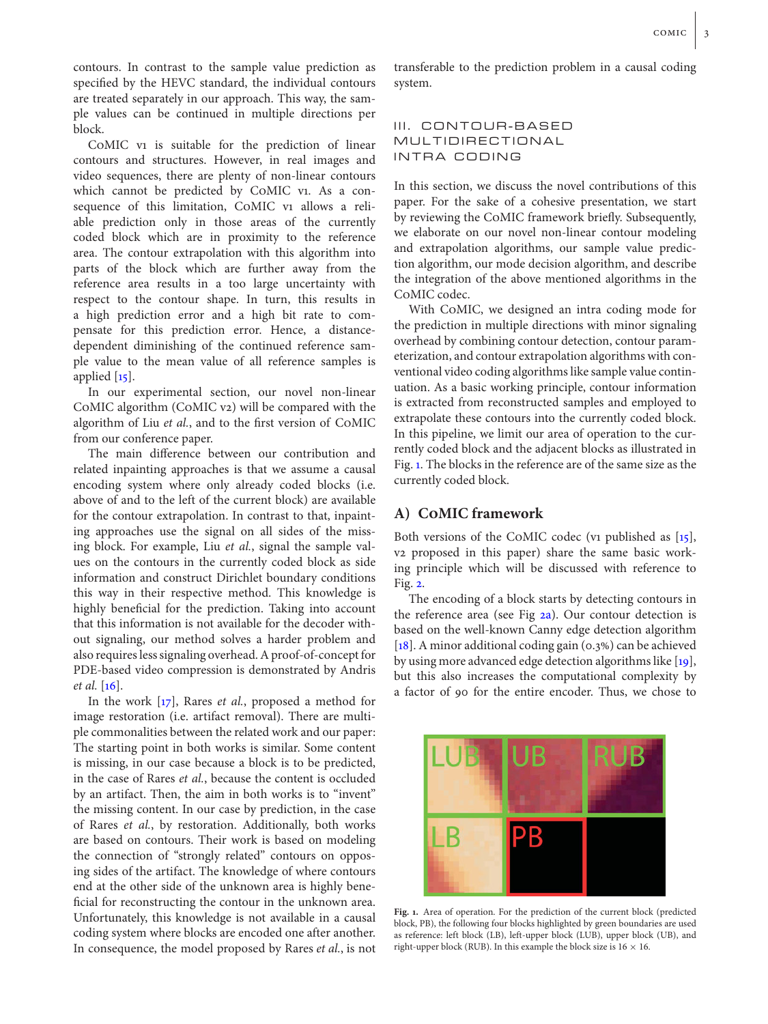contours. In contrast to the sample value prediction as specified by the HEVC standard, the individual contours are treated separately in our approach. This way, the sample values can be continued in multiple directions per block.

CoMIC v1 is suitable for the prediction of linear contours and structures. However, in real images and video sequences, there are plenty of non-linear contours which cannot be predicted by CoMIC v1. As a consequence of this limitation, CoMIC v1 allows a reliable prediction only in those areas of the currently coded block which are in proximity to the reference area. The contour extrapolation with this algorithm into parts of the block which are further away from the reference area results in a too large uncertainty with respect to the contour shape. In turn, this results in a high prediction error and a high bit rate to compensate for this prediction error. Hence, a distancedependent diminishing of the continued reference sample value to the mean value of all reference samples is applied [\[15\]](#page-11-10).

In our experimental section, our novel non-linear CoMIC algorithm (CoMIC v2) will be compared with the algorithm of Liu *et al.*, and to the first version of CoMIC from our conference paper.

The main difference between our contribution and related inpainting approaches is that we assume a causal encoding system where only already coded blocks (i.e. above of and to the left of the current block) are available for the contour extrapolation. In contrast to that, inpainting approaches use the signal on all sides of the missing block. For example, Liu *et al.*, signal the sample values on the contours in the currently coded block as side information and construct Dirichlet boundary conditions this way in their respective method. This knowledge is highly beneficial for the prediction. Taking into account that this information is not available for the decoder without signaling, our method solves a harder problem and also requires less signaling overhead. A proof-of-concept for PDE-based video compression is demonstrated by Andris *et al.* [\[16\]](#page-11-11).

In the work [\[17\]](#page-11-12), Rares *et al.*, proposed a method for image restoration (i.e. artifact removal). There are multiple commonalities between the related work and our paper: The starting point in both works is similar. Some content is missing, in our case because a block is to be predicted, in the case of Rares *et al.*, because the content is occluded by an artifact. Then, the aim in both works is to "invent" the missing content. In our case by prediction, in the case of Rares *et al.*, by restoration. Additionally, both works are based on contours. Their work is based on modeling the connection of "strongly related" contours on opposing sides of the artifact. The knowledge of where contours end at the other side of the unknown area is highly beneficial for reconstructing the contour in the unknown area. Unfortunately, this knowledge is not available in a causal coding system where blocks are encoded one after another. In consequence, the model proposed by Rares *et al.*, is not

transferable to the prediction problem in a causal coding system.

## <span id="page-2-0"></span>III. CONTOUR-BASED MULTIDIRECTIONAL INTRA CODING

In this section, we discuss the novel contributions of this paper. For the sake of a cohesive presentation, we start by reviewing the CoMIC framework briefly. Subsequently, we elaborate on our novel non-linear contour modeling and extrapolation algorithms, our sample value prediction algorithm, our mode decision algorithm, and describe the integration of the above mentioned algorithms in the CoMIC codec.

With CoMIC, we designed an intra coding mode for the prediction in multiple directions with minor signaling overhead by combining contour detection, contour parameterization, and contour extrapolation algorithms with conventional video coding algorithms like sample value continuation. As a basic working principle, contour information is extracted from reconstructed samples and employed to extrapolate these contours into the currently coded block. In this pipeline, we limit our area of operation to the currently coded block and the adjacent blocks as illustrated in Fig. [1.](#page-2-1) The blocks in the reference are of the same size as the currently coded block.

#### **A) CoMIC framework**

Both versions of the CoMIC codec (v1 published as [\[15\]](#page-11-10), v2 proposed in this paper) share the same basic working principle which will be discussed with reference to Fig. [2.](#page-3-0)

The encoding of a block starts by detecting contours in the reference area (see Fig [2](#page-3-0)[a\)](#page-3-1). Our contour detection is based on the well-known Canny edge detection algorithm [ $18$ ]. A minor additional coding gain ( $0.3%$ ) can be achieved by using more advanced edge detection algorithms like [\[19\]](#page-11-14), but this also increases the computational complexity by a factor of 90 for the entire encoder. Thus, we chose to



<span id="page-2-1"></span>**Fig. 1.** Area of operation. For the prediction of the current block (predicted block, PB), the following four blocks highlighted by green boundaries are used as reference: left block (LB), left-upper block (LUB), upper block (UB), and right-upper block (RUB). In this example the block size is  $16 \times 16$ .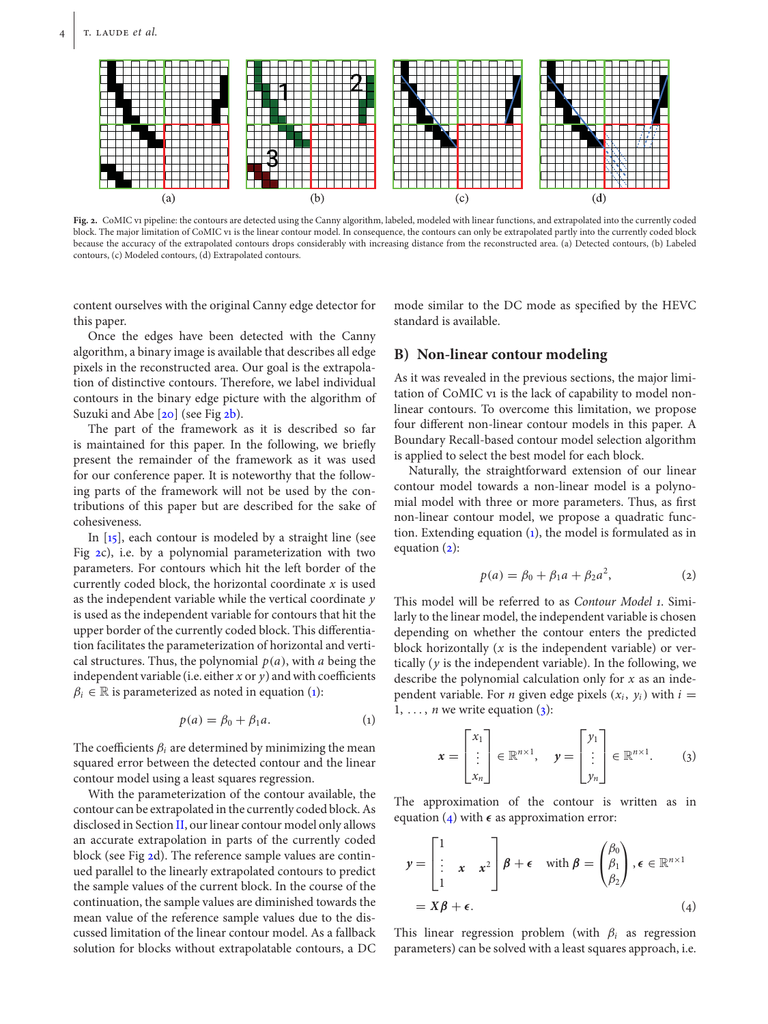

<span id="page-3-0"></span>Fig. 2. CoMIC v1 pipeline: the contours are detected using the Canny algorithm, labeled, modeled with linear functions, and extrapolated into the currently coded block. The major limitation of CoMIC v1 is the linear contour model. In consequence, the contours can only be extrapolated partly into the currently coded block because the accuracy of the extrapolated contours drops considerably with increasing distance from the reconstructed area. (a) Detected contours, (b) Labeled contours, (c) Modeled contours, (d) Extrapolated contours.

content ourselves with the original Canny edge detector for this paper.

Once the edges have been detected with the Canny algorithm, a binary image is available that describes all edge pixels in the reconstructed area. Our goal is the extrapolation of distinctive contours. Therefore, we label individual contours in the binary edge picture with the algorithm of Suzuki and Abe [\[20\]](#page-11-15) (see Fig [2](#page-3-0)[b\)](#page-3-1).

The part of the framework as it is described so far is maintained for this paper. In the following, we briefly present the remainder of the framework as it was used for our conference paper. It is noteworthy that the following parts of the framework will not be used by the contributions of this paper but are described for the sake of cohesiveness.

In  $[15]$ , each contour is modeled by a straight line (see Fig [2c](#page-3-0)), i.e. by a polynomial parameterization with two parameters. For contours which hit the left border of the currently coded block, the horizontal coordinate *x* is used as the independent variable while the vertical coordinate *y* is used as the independent variable for contours that hit the upper border of the currently coded block. This differentiation facilitates the parameterization of horizontal and vertical structures. Thus, the polynomial  $p(a)$ , with *a* being the independent variable (i.e. either *x* or *y*) and with coefficients  $\beta_i \in \mathbb{R}$  is parameterized as noted in equation [\(1\)](#page-3-2):

<span id="page-3-2"></span>
$$
p(a) = \beta_0 + \beta_1 a. \tag{1}
$$

The coefficients  $\beta_i$  are determined by minimizing the mean squared error between the detected contour and the linear contour model using a least squares regression.

With the parameterization of the contour available, the contour can be extrapolated in the currently coded block. As disclosed in Section [II,](#page-1-0) our linear contour model only allows an accurate extrapolation in parts of the currently coded block (see Fig [2d](#page-3-0)). The reference sample values are continued parallel to the linearly extrapolated contours to predict the sample values of the current block. In the course of the continuation, the sample values are diminished towards the mean value of the reference sample values due to the discussed limitation of the linear contour model. As a fallback solution for blocks without extrapolatable contours, a DC <span id="page-3-1"></span>mode similar to the DC mode as specified by the HEVC standard is available.

#### <span id="page-3-6"></span>**B) Non-linear contour modeling**

As it was revealed in the previous sections, the major limitation of CoMIC v1 is the lack of capability to model nonlinear contours. To overcome this limitation, we propose four different non-linear contour models in this paper. A Boundary Recall-based contour model selection algorithm is applied to select the best model for each block.

Naturally, the straightforward extension of our linear contour model towards a non-linear model is a polynomial model with three or more parameters. Thus, as first non-linear contour model, we propose a quadratic function. Extending equation [\(1\)](#page-3-2), the model is formulated as in equation  $(2)$ :

<span id="page-3-3"></span>
$$
p(a) = \beta_0 + \beta_1 a + \beta_2 a^2,
$$
 (2)

This model will be referred to as *Contour Model 1*. Similarly to the linear model, the independent variable is chosen depending on whether the contour enters the predicted block horizontally (*x* is the independent variable) or vertically (*y* is the independent variable). In the following, we describe the polynomial calculation only for *x* as an independent variable. For *n* given edge pixels  $(x_i, y_i)$  with  $i =$ 1, ..., *n* we write equation  $(3)$ :

<span id="page-3-4"></span>
$$
\boldsymbol{x} = \begin{bmatrix} x_1 \\ \vdots \\ x_n \end{bmatrix} \in \mathbb{R}^{n \times 1}, \quad \boldsymbol{y} = \begin{bmatrix} y_1 \\ \vdots \\ y_n \end{bmatrix} \in \mathbb{R}^{n \times 1}. \tag{3}
$$

The approximation of the contour is written as in equation  $(4)$  with  $\epsilon$  as approximation error:

<span id="page-3-5"></span>
$$
y = \begin{bmatrix} 1 \\ \vdots \\ 1 \end{bmatrix} x \quad x^2 \quad \beta + \epsilon \quad \text{with } \beta = \begin{pmatrix} \beta_0 \\ \beta_1 \\ \beta_2 \end{pmatrix}, \epsilon \in \mathbb{R}^{n \times 1}
$$

$$
= X\beta + \epsilon.
$$
 (4)

This linear regression problem (with β*<sup>i</sup>* as regression parameters) can be solved with a least squares approach, i.e.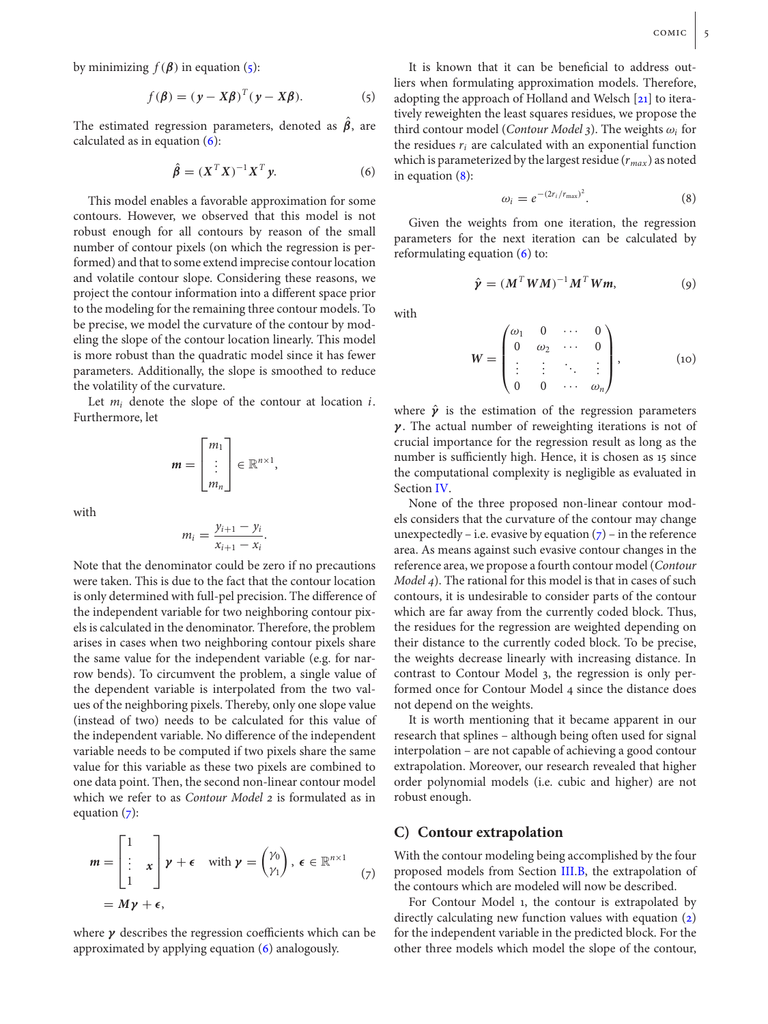by minimizing  $f(\boldsymbol{\beta})$  in equation [\(5\)](#page-4-0):

<span id="page-4-0"></span>
$$
f(\boldsymbol{\beta}) = (\boldsymbol{y} - \boldsymbol{X}\boldsymbol{\beta})^T (\boldsymbol{y} - \boldsymbol{X}\boldsymbol{\beta}).
$$
 (5)

The estimated regression parameters, denoted as  $\beta$ , are calculated as in equation [\(6\)](#page-4-1):

<span id="page-4-1"></span>
$$
\hat{\beta} = (X^T X)^{-1} X^T y. \tag{6}
$$

This model enables a favorable approximation for some contours. However, we observed that this model is not robust enough for all contours by reason of the small number of contour pixels (on which the regression is performed) and that to some extend imprecise contour location and volatile contour slope. Considering these reasons, we project the contour information into a different space prior to the modeling for the remaining three contour models. To be precise, we model the curvature of the contour by modeling the slope of the contour location linearly. This model is more robust than the quadratic model since it has fewer parameters. Additionally, the slope is smoothed to reduce the volatility of the curvature.

Let *mi* denote the slope of the contour at location *i*. Furthermore, let

$$
\boldsymbol{m} = \begin{bmatrix} m_1 \\ \vdots \\ m_n \end{bmatrix} \in \mathbb{R}^{n \times 1},
$$

with

$$
m_i=\frac{y_{i+1}-y_i}{x_{i+1}-x_i}.
$$

Note that the denominator could be zero if no precautions were taken. This is due to the fact that the contour location is only determined with full-pel precision. The difference of the independent variable for two neighboring contour pixels is calculated in the denominator. Therefore, the problem arises in cases when two neighboring contour pixels share the same value for the independent variable (e.g. for narrow bends). To circumvent the problem, a single value of the dependent variable is interpolated from the two values of the neighboring pixels. Thereby, only one slope value (instead of two) needs to be calculated for this value of the independent variable. No difference of the independent variable needs to be computed if two pixels share the same value for this variable as these two pixels are combined to one data point. Then, the second non-linear contour model which we refer to as *Contour Model 2* is formulated as in equation  $(7)$ :

<span id="page-4-2"></span>
$$
m = \begin{bmatrix} 1 \\ \vdots \\ 1 \end{bmatrix} \gamma + \epsilon \quad \text{with } \gamma = \begin{pmatrix} \gamma_0 \\ \gamma_1 \end{pmatrix}, \ \epsilon \in \mathbb{R}^{n \times 1} \tag{7}
$$

$$
= M\gamma + \epsilon,
$$

where *γ* describes the regression coefficients which can be approximated by applying equation [\(6\)](#page-4-1) analogously.

It is known that it can be beneficial to address outliers when formulating approximation models. Therefore, adopting the approach of Holland and Welsch [\[21\]](#page-11-16) to iteratively reweighten the least squares residues, we propose the third contour model (*Contour Model 3*). The weights ω*<sup>i</sup>* for the residues  $r_i$  are calculated with an exponential function which is parameterized by the largest residue (*rmax* ) as noted in equation [\(8\)](#page-4-3):

<span id="page-4-3"></span>
$$
\omega_i = e^{-(2r_i/r_{\text{max}})^2}.
$$
 (8)

Given the weights from one iteration, the regression parameters for the next iteration can be calculated by reformulating equation [\(6\)](#page-4-1) to:

with

$$
W = \begin{pmatrix} \omega_1 & 0 & \cdots & 0 \\ 0 & \omega_2 & \cdots & 0 \\ \vdots & \vdots & \ddots & \vdots \\ 0 & 0 & \cdots & \omega_n \end{pmatrix}, \quad (10)
$$

 $\hat{\mathbf{y}} = (M^T W M)^{-1} M^T W m,$  (9)

where  $\hat{\mathbf{y}}$  is the estimation of the regression parameters *γ* . The actual number of reweighting iterations is not of crucial importance for the regression result as long as the number is sufficiently high. Hence, it is chosen as 15 since the computational complexity is negligible as evaluated in Section [IV.](#page-8-0)

None of the three proposed non-linear contour models considers that the curvature of the contour may change unexpectedly – i.e. evasive by equation  $(7)$  – in the reference area. As means against such evasive contour changes in the reference area, we propose a fourth contour model (*Contour Model 4*). The rational for this model is that in cases of such contours, it is undesirable to consider parts of the contour which are far away from the currently coded block. Thus, the residues for the regression are weighted depending on their distance to the currently coded block. To be precise, the weights decrease linearly with increasing distance. In contrast to Contour Model 3, the regression is only performed once for Contour Model 4 since the distance does not depend on the weights.

It is worth mentioning that it became apparent in our research that splines – although being often used for signal interpolation – are not capable of achieving a good contour extrapolation. Moreover, our research revealed that higher order polynomial models (i.e. cubic and higher) are not robust enough.

### <span id="page-4-4"></span>**C) Contour extrapolation**

With the contour modeling being accomplished by the four proposed models from Section [III](#page-2-0)[.B,](#page-3-6) the extrapolation of the contours which are modeled will now be described.

For Contour Model 1, the contour is extrapolated by directly calculating new function values with equation [\(2\)](#page-3-3) for the independent variable in the predicted block. For the other three models which model the slope of the contour,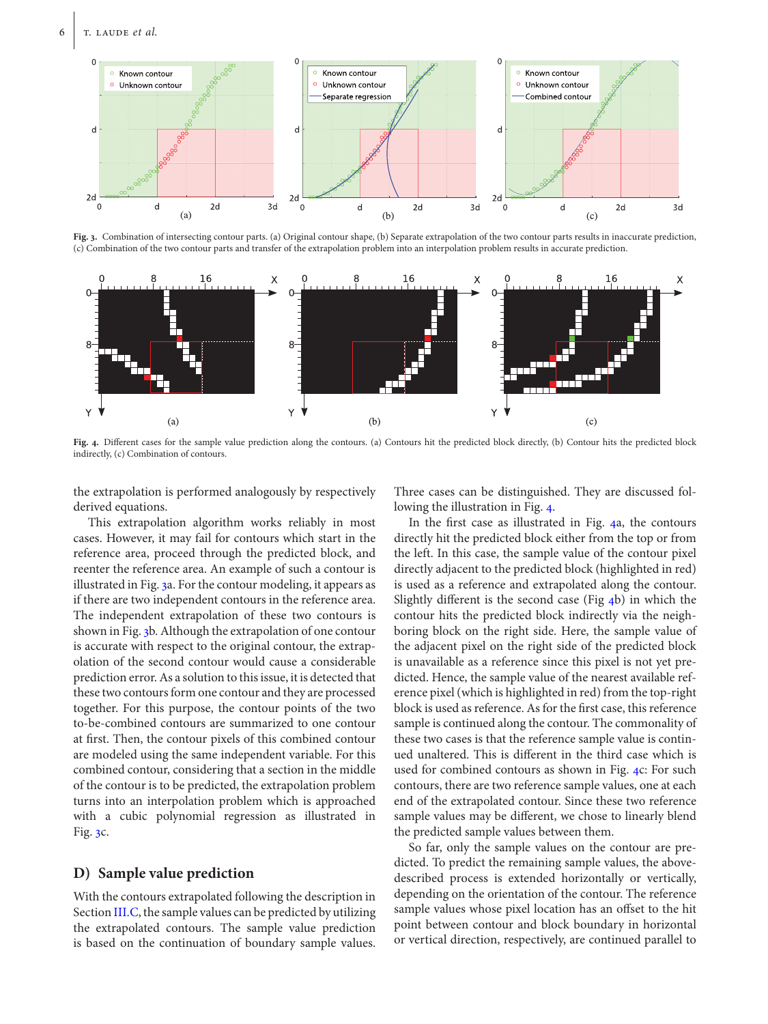

<span id="page-5-0"></span>**Fig. 3.** Combination of intersecting contour parts. (a) Original contour shape, (b) Separate extrapolation of the two contour parts results in inaccurate prediction, (c) Combination of the two contour parts and transfer of the extrapolation problem into an interpolation problem results in accurate prediction.



<span id="page-5-1"></span>**Fig. 4.** Different cases for the sample value prediction along the contours. (a) Contours hit the predicted block directly, (b) Contour hits the predicted block indirectly, (c) Combination of contours.

the extrapolation is performed analogously by respectively derived equations.

This extrapolation algorithm works reliably in most cases. However, it may fail for contours which start in the reference area, proceed through the predicted block, and reenter the reference area. An example of such a contour is illustrated in Fig. [3a](#page-5-0). For the contour modeling, it appears as if there are two independent contours in the reference area. The independent extrapolation of these two contours is shown in Fig. [3b](#page-5-0). Although the extrapolation of one contour is accurate with respect to the original contour, the extrapolation of the second contour would cause a considerable prediction error. As a solution to this issue, it is detected that these two contours form one contour and they are processed together. For this purpose, the contour points of the two to-be-combined contours are summarized to one contour at first. Then, the contour pixels of this combined contour are modeled using the same independent variable. For this combined contour, considering that a section in the middle of the contour is to be predicted, the extrapolation problem turns into an interpolation problem which is approached with a cubic polynomial regression as illustrated in Fig. [3c](#page-5-0).

#### **D) Sample value prediction**

With the contours extrapolated following the description in Section [III](#page-2-0)[.C,](#page-4-4) the sample values can be predicted by utilizing the extrapolated contours. The sample value prediction is based on the continuation of boundary sample values.

Three cases can be distinguished. They are discussed following the illustration in Fig. [4.](#page-5-1)

In the first case as illustrated in Fig. [4a](#page-5-1), the contours directly hit the predicted block either from the top or from the left. In this case, the sample value of the contour pixel directly adjacent to the predicted block (highlighted in red) is used as a reference and extrapolated along the contour. Slightly different is the second case (Fig  $\overline{4}$ b) in which the contour hits the predicted block indirectly via the neighboring block on the right side. Here, the sample value of the adjacent pixel on the right side of the predicted block is unavailable as a reference since this pixel is not yet predicted. Hence, the sample value of the nearest available reference pixel (which is highlighted in red) from the top-right block is used as reference. As for the first case, this reference sample is continued along the contour. The commonality of these two cases is that the reference sample value is continued unaltered. This is different in the third case which is used for combined contours as shown in Fig. [4c](#page-5-1): For such contours, there are two reference sample values, one at each end of the extrapolated contour. Since these two reference sample values may be different, we chose to linearly blend the predicted sample values between them.

So far, only the sample values on the contour are predicted. To predict the remaining sample values, the abovedescribed process is extended horizontally or vertically, depending on the orientation of the contour. The reference sample values whose pixel location has an offset to the hit point between contour and block boundary in horizontal or vertical direction, respectively, are continued parallel to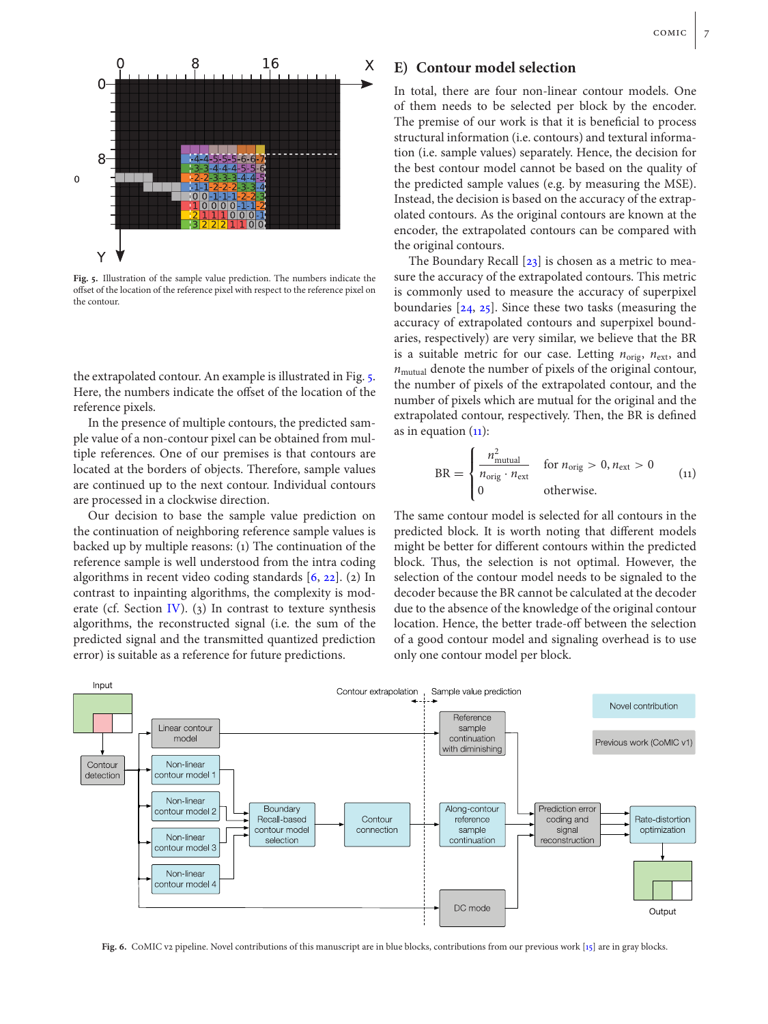

<span id="page-6-0"></span>**Fig. 5.** Illustration of the sample value prediction. The numbers indicate the offset of the location of the reference pixel with respect to the reference pixel on the contour.

the extrapolated contour. An example is illustrated in Fig. [5.](#page-6-0) Here, the numbers indicate the offset of the location of the reference pixels.

In the presence of multiple contours, the predicted sample value of a non-contour pixel can be obtained from multiple references. One of our premises is that contours are located at the borders of objects. Therefore, sample values are continued up to the next contour. Individual contours are processed in a clockwise direction.

Our decision to base the sample value prediction on the continuation of neighboring reference sample values is backed up by multiple reasons: (1) The continuation of the reference sample is well understood from the intra coding algorithms in recent video coding standards [\[6,](#page-11-1) [22\]](#page-11-17). (2) In contrast to inpainting algorithms, the complexity is moderate (cf. Section [IV\)](#page-8-0). (3) In contrast to texture synthesis algorithms, the reconstructed signal (i.e. the sum of the predicted signal and the transmitted quantized prediction error) is suitable as a reference for future predictions.

## **E) Contour model selection**

In total, there are four non-linear contour models. One of them needs to be selected per block by the encoder. The premise of our work is that it is beneficial to process structural information (i.e. contours) and textural information (i.e. sample values) separately. Hence, the decision for the best contour model cannot be based on the quality of the predicted sample values (e.g. by measuring the MSE). Instead, the decision is based on the accuracy of the extrapolated contours. As the original contours are known at the encoder, the extrapolated contours can be compared with the original contours.

The Boundary Recall [\[23\]](#page-11-18) is chosen as a metric to measure the accuracy of the extrapolated contours. This metric is commonly used to measure the accuracy of superpixel boundaries  $[24, 25]$  $[24, 25]$  $[24, 25]$ . Since these two tasks (measuring the accuracy of extrapolated contours and superpixel boundaries, respectively) are very similar, we believe that the BR is a suitable metric for our case. Letting  $n_{\text{orig}}$ ,  $n_{\text{ext}}$ , and *n*mutual denote the number of pixels of the original contour, the number of pixels of the extrapolated contour, and the number of pixels which are mutual for the original and the extrapolated contour, respectively. Then, the BR is defined as in equation  $(11)$ :

<span id="page-6-1"></span>
$$
BR = \begin{cases} \frac{n_{\text{mutual}}^2}{n_{\text{orig}} \cdot n_{\text{ext}}} & \text{for } n_{\text{orig}} > 0, n_{\text{ext}} > 0\\ 0 & \text{otherwise.} \end{cases}
$$
(11)

The same contour model is selected for all contours in the predicted block. It is worth noting that different models might be better for different contours within the predicted block. Thus, the selection is not optimal. However, the selection of the contour model needs to be signaled to the decoder because the BR cannot be calculated at the decoder due to the absence of the knowledge of the original contour location. Hence, the better trade-off between the selection of a good contour model and signaling overhead is to use only one contour model per block.



<span id="page-6-2"></span>**Fig. 6.** CoMIC v2 pipeline. Novel contributions of this manuscript are in blue blocks, contributions from our previous work [\[15\]](#page-11-10) are in gray blocks.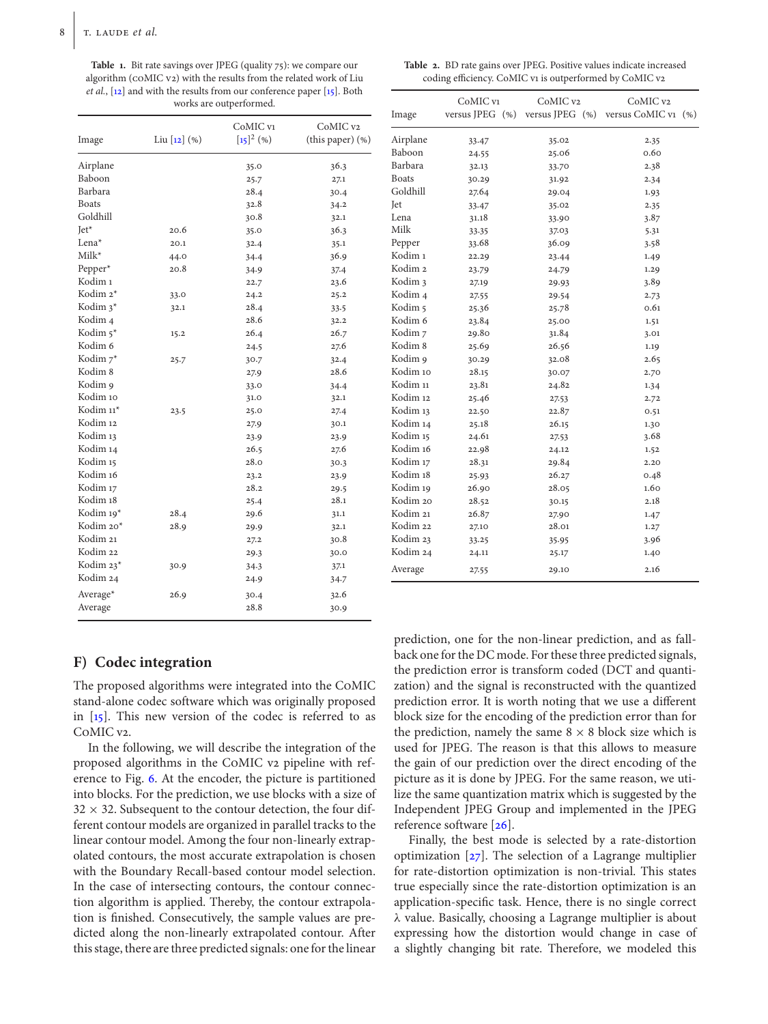<span id="page-7-0"></span>**Table 1.** Bit rate savings over JPEG (quality 75): we compare our algorithm (coMIC v2) with the results from the related work of Liu *et al.*, [\[12\]](#page-11-7) and with the results from our conference paper [\[15\]](#page-11-10). Both works are outperformed.

<span id="page-7-1"></span>

| <b>Table 2.</b> BD rate gains over JPEG. Positive values indicate increased |  |
|-----------------------------------------------------------------------------|--|
| coding efficiency. CoMIC v1 is outperformed by CoMIC v2                     |  |

| Image                | Liu $[12]$ (%) | CoMIC <sub>v1</sub><br>$[15]^{2}$ (%) | CoMIC v2<br>(this paper) $(\%)$ |  |  |
|----------------------|----------------|---------------------------------------|---------------------------------|--|--|
| Airplane             |                | 35.0                                  | 36.3                            |  |  |
| Baboon               |                | 25.7                                  | 27.1                            |  |  |
| Barbara              |                | 28.4                                  | 30.4                            |  |  |
| <b>Boats</b>         |                | 32.8                                  | 34.2                            |  |  |
| Goldhill             |                | 30.8                                  | 32.1                            |  |  |
| Jet*                 | 20.6           | 35.0                                  | 36.3                            |  |  |
| Lena <sup>*</sup>    | 20.1           | 32.4                                  | 35.1                            |  |  |
| Milk*                | 44.0           | 34.4                                  | 36.9                            |  |  |
| Pepper*              | 20.8           | 34.9                                  | 37.4                            |  |  |
| Kodim 1              |                | 22.7                                  | 23.6                            |  |  |
| Kodim 2*             | 33.0           | 24.2                                  | 25.2                            |  |  |
| Kodim 3 <sup>*</sup> | 32.1           | 28.4                                  | 33.5                            |  |  |
| Kodim <sub>4</sub>   |                | 28.6                                  | 32.2                            |  |  |
| Kodim 5*             | 15.2           | 26.4                                  | 26.7                            |  |  |
| Kodim 6              |                | 24.5                                  | 27.6                            |  |  |
| Kodim 7*             | 25.7           | 30.7                                  | 32.4                            |  |  |
| Kodim 8              |                | 27.9                                  | 28.6                            |  |  |
| Kodim <sub>9</sub>   |                | 33.0                                  | 34.4                            |  |  |
| Kodim 10             |                | 31.0                                  | 32.1                            |  |  |
| Kodim 11*            | 23.5           | 25.0                                  | 27.4                            |  |  |
| Kodim 12             |                | 27.9                                  | 30.1                            |  |  |
| Kodim <sub>13</sub>  |                | 23.9                                  | 23.9                            |  |  |
| Kodim 14             |                | 26.5                                  | 27.6                            |  |  |
| Kodim 15             |                | 28.0                                  | 30.3                            |  |  |
| Kodim 16             |                | 23.2                                  | 23.9                            |  |  |
| Kodim 17             |                | 28.2                                  | 29.5                            |  |  |
| Kodim 18             |                | 25.4                                  | 28.1                            |  |  |
| Kodim 19*            | 28.4           | 29.6                                  | 31.1                            |  |  |
| Kodim 20*            | 28.9           | 29.9                                  | 32.1                            |  |  |
| Kodim 21             |                | 27.2                                  | 30.8                            |  |  |
| Kodim 22             |                | 29.3                                  | 30.0                            |  |  |
| Kodim 23*            | 30.9           | 34.3                                  | 37.1                            |  |  |
| Kodim 24             |                | 24.9                                  | 34.7                            |  |  |
| Average <sup>*</sup> | 26.9           | 30.4                                  | 32.6                            |  |  |
| Average              |                | 28.8                                  | 30.9                            |  |  |

|                     | CoMIC <sub>v1</sub> | CoMIC v2        | CoMIC v2                |
|---------------------|---------------------|-----------------|-------------------------|
| Image               | versus JPEG (%)     | versus JPEG (%) | versus CoMIC v1<br>(96) |
| Airplane            | 33.47               | 35.02           | 2.35                    |
| Baboon              | 24.55               | 25.06           | 0.60                    |
| Barbara             | 32.13               | 33.70           | 2.38                    |
| <b>Boats</b>        | 30.29               | 31.92           | 2.34                    |
| Goldhill            | 27.64               | 29.04           | 1.93                    |
| <b>Jet</b>          | 33.47               | 35.02           | 2.35                    |
| Lena                | 31.18               | 33.90           | 3.87                    |
| Milk                | 33.35               | 37.03           | 5.31                    |
| Pepper              | 33.68               | 36.09           | 3.58                    |
| Kodim <sub>1</sub>  | 22.29               | 23.44           | 1.49                    |
| Kodim <sub>2</sub>  | 23.79               | 24.79           | 1.29                    |
| Kodim 3             | 27.19               | 29.93           | 3.89                    |
| Kodim <sub>4</sub>  | 27.55               | 29.54           | 2.73                    |
| Kodim <sub>5</sub>  | 25.36               | 25.78           | 0.61                    |
| Kodim 6             | 23.84               | 25.00           | 1.51                    |
| Kodim <sub>7</sub>  | 29.80               | 31.84           | 3.01                    |
| Kodim 8             | 25.69               | 26.56           | 1.19                    |
| Kodim 9             | 30.29               | 32.08           | 2.65                    |
| Kodim 10            | 28.15               | 30.07           | 2.70                    |
| Kodim 11            | 23.81               | 24.82           | 1.34                    |
| Kodim 12            | 25.46               | 27.53           | 2.72                    |
| Kodim 13            | 22.50               | 22.87           | 0.51                    |
| Kodim 14            | 25.18               | 26.15           | 1.30                    |
| Kodim <sub>15</sub> | 24.61               | 27.53           | 3.68                    |
| Kodim 16            | 22.98               | 24.12           | 1.52                    |
| Kodim 17            | 28.31               | 29.84           | 2.20                    |
| Kodim 18            | 25.93               | 26.27           | 0.48                    |
| Kodim 19            | 26.90               | 28.05           | 1.60                    |
| Kodim 20            | 28.52               | 30.15           | 2.18                    |
| Kodim 21            | 26.87               | 27.90           | 1.47                    |
| Kodim <sub>22</sub> | 27.10               | 28.01           | 1.27                    |
| Kodim 23            | 33.25               | 35.95           | 3.96                    |
| Kodim 24            | 24.11               | 25.17           | 1.40                    |
| Average             | 27.55               | 29.10           | 2.16                    |
|                     |                     |                 |                         |

## **F) Codec integration**

The proposed algorithms were integrated into the CoMIC stand-alone codec software which was originally proposed in  $[t<sub>5</sub>].$  This new version of the codec is referred to as CoMIC v2.

In the following, we will describe the integration of the proposed algorithms in the CoMIC v2 pipeline with reference to Fig. [6.](#page-6-2) At the encoder, the picture is partitioned into blocks. For the prediction, we use blocks with a size of  $32 \times 32$ . Subsequent to the contour detection, the four different contour models are organized in parallel tracks to the linear contour model. Among the four non-linearly extrapolated contours, the most accurate extrapolation is chosen with the Boundary Recall-based contour model selection. In the case of intersecting contours, the contour connection algorithm is applied. Thereby, the contour extrapolation is finished. Consecutively, the sample values are predicted along the non-linearly extrapolated contour. After this stage, there are three predicted signals: one for the linear prediction, one for the non-linear prediction, and as fallback one for the DC mode. For these three predicted signals, the prediction error is transform coded (DCT and quantization) and the signal is reconstructed with the quantized prediction error. It is worth noting that we use a different block size for the encoding of the prediction error than for the prediction, namely the same  $8 \times 8$  block size which is used for JPEG. The reason is that this allows to measure the gain of our prediction over the direct encoding of the picture as it is done by JPEG. For the same reason, we utilize the same quantization matrix which is suggested by the Independent JPEG Group and implemented in the JPEG reference software [\[26\]](#page-11-21).

Finally, the best mode is selected by a rate-distortion optimization  $[27]$ . The selection of a Lagrange multiplier for rate-distortion optimization is non-trivial. This states true especially since the rate-distortion optimization is an application-specific task. Hence, there is no single correct λ value. Basically, choosing a Lagrange multiplier is about expressing how the distortion would change in case of a slightly changing bit rate. Therefore, we modeled this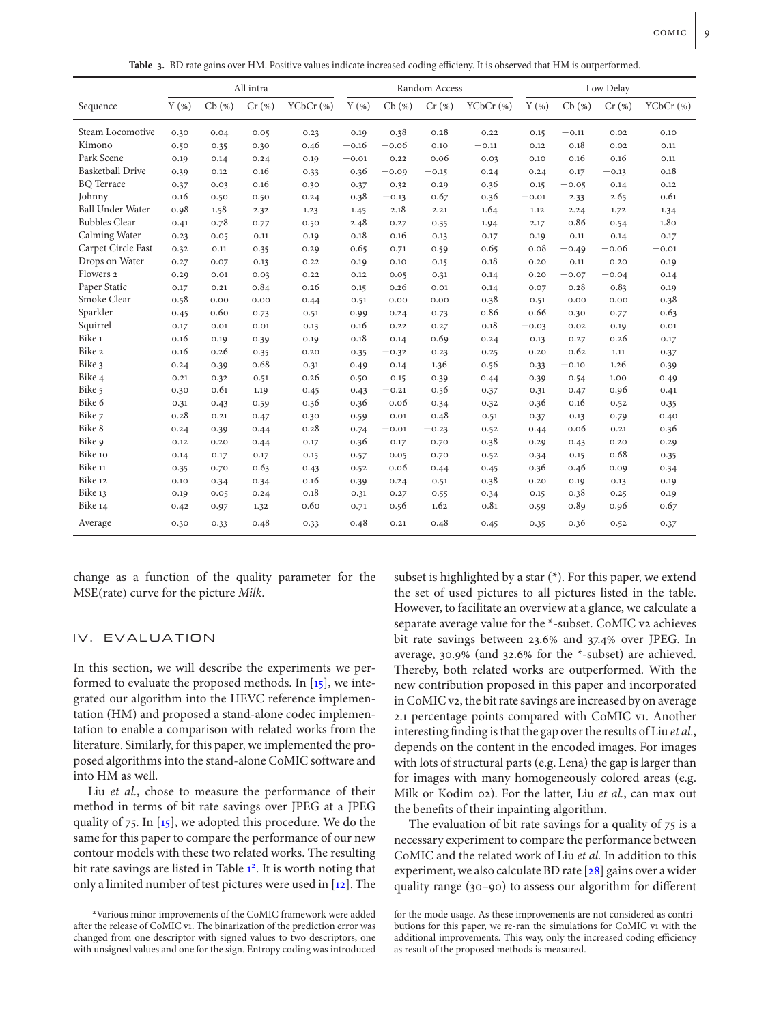<span id="page-8-2"></span>**Table 3.** BD rate gains over HM. Positive values indicate increased coding efficieny. It is observed that HM is outperformed.

|                         | All intra<br>Random Access |       |       |           |         |         | Low Delay |                 |         |         |         |          |
|-------------------------|----------------------------|-------|-------|-----------|---------|---------|-----------|-----------------|---------|---------|---------|----------|
| Sequence                | Y(%)                       | Cb(%) | Cr(%) | YCbCr (%) | Y(%)    | Cb(%)   | Cr(%)     | $YCbCr$ $(\% )$ | Y(%)    | Cb(%)   | Cr(%)   | YCbCr(%) |
| Steam Locomotive        | 0.30                       | 0.04  | 0.05  | 0.23      | 0.19    | 0.38    | 0.28      | 0.22            | 0.15    | $-0.11$ | 0.02    | 0.10     |
| Kimono                  | 0.50                       | 0.35  | 0.30  | 0.46      | $-0.16$ | $-0.06$ | 0.10      | $-0.11$         | 0.12    | 0.18    | 0.02    | 0.11     |
| Park Scene              | 0.19                       | 0.14  | 0.24  | 0.19      | $-0.01$ | 0.22    | 0.06      | 0.03            | 0.10    | 0.16    | 0.16    | 0.11     |
| <b>Basketball Drive</b> | 0.39                       | 0.12  | 0.16  | 0.33      | 0.36    | $-0.09$ | $-0.15$   | 0.24            | 0.24    | 0.17    | $-0.13$ | 0.18     |
| <b>BQ</b> Terrace       | 0.37                       | 0.03  | 0.16  | 0.30      | 0.37    | 0.32    | 0.29      | 0.36            | 0.15    | $-0.05$ | 0.14    | 0.12     |
| Johnny                  | 0.16                       | 0.50  | 0.50  | 0.24      | 0.38    | $-0.13$ | 0.67      | 0.36            | $-0.01$ | 2.33    | 2.65    | 0.61     |
| <b>Ball Under Water</b> | 0.98                       | 1.58  | 2.32  | 1.23      | 1.45    | 2.18    | 2.21      | 1.64            | 1.12    | 2.24    | 1.72    | 1.34     |
| <b>Bubbles Clear</b>    | 0.41                       | 0.78  | 0.77  | 0.50      | 2.48    | 0.27    | 0.35      | 1.94            | 2.17    | 0.86    | 0.54    | 1.80     |
| Calming Water           | 0.23                       | 0.05  | 0.11  | 0.19      | 0.18    | 0.16    | 0.13      | 0.17            | 0.19    | 0.11    | 0.14    | 0.17     |
| Carpet Circle Fast      | 0.32                       | 0.11  | 0.35  | 0.29      | 0.65    | 0.71    | 0.59      | 0.65            | 0.08    | $-0.49$ | $-0.06$ | $-0.01$  |
| Drops on Water          | 0.27                       | 0.07  | 0.13  | 0.22      | 0.19    | 0.10    | 0.15      | 0.18            | 0.20    | 0.11    | 0.20    | 0.19     |
| Flowers 2               | 0.29                       | 0.01  | 0.03  | 0.22      | 0.12    | 0.05    | 0.31      | 0.14            | 0.20    | $-0.07$ | $-0.04$ | 0.14     |
| Paper Static            | 0.17                       | 0.21  | 0.84  | 0.26      | 0.15    | 0.26    | 0.01      | 0.14            | 0.07    | 0.28    | 0.83    | 0.19     |
| Smoke Clear             | 0.58                       | 0.00  | 0.00  | 0.44      | 0.51    | 0.00    | 0.00      | 0.38            | 0.51    | 0.00    | 0.00    | 0.38     |
| Sparkler                | 0.45                       | 0.60  | 0.73  | 0.51      | 0.99    | 0.24    | 0.73      | 0.86            | 0.66    | 0.30    | 0.77    | 0.63     |
| Squirrel                | 0.17                       | 0.01  | 0.01  | 0.13      | 0.16    | 0.22    | 0.27      | 0.18            | $-0.03$ | 0.02    | 0.19    | 0.01     |
| Bike 1                  | 0.16                       | 0.19  | 0.39  | 0.19      | 0.18    | 0.14    | 0.69      | 0.24            | 0.13    | 0.27    | 0.26    | 0.17     |
| Bike 2                  | 0.16                       | 0.26  | 0.35  | 0.20      | 0.35    | $-0.32$ | 0.23      | 0.25            | 0.20    | 0.62    | 1.11    | 0.37     |
| Bike 3                  | 0.24                       | 0.39  | 0.68  | 0.31      | 0.49    | 0.14    | 1.36      | 0.56            | 0.33    | $-0.10$ | 1.26    | 0.39     |
| Bike 4                  | 0.21                       | 0.32  | 0.51  | 0.26      | 0.50    | 0.15    | 0.39      | 0.44            | 0.39    | 0.54    | 1.00    | 0.49     |
| Bike 5                  | 0.30                       | 0.61  | 1.19  | 0.45      | 0.43    | $-0.21$ | 0.56      | 0.37            | 0.31    | 0.47    | 0.96    | 0.41     |
| Bike 6                  | 0.31                       | 0.43  | 0.59  | 0.36      | 0.36    | 0.06    | 0.34      | 0.32            | 0.36    | 0.16    | 0.52    | 0.35     |
| Bike 7                  | 0.28                       | 0.21  | 0.47  | 0.30      | 0.59    | 0.01    | 0.48      | 0.51            | 0.37    | 0.13    | 0.79    | 0.40     |
| Bike 8                  | 0.24                       | 0.39  | 0.44  | 0.28      | 0.74    | $-0.01$ | $-0.23$   | 0.52            | 0.44    | 0.06    | 0.21    | 0.36     |
| Bike 9                  | 0.12                       | 0.20  | 0.44  | 0.17      | 0.36    | 0.17    | 0.70      | 0.38            | 0.29    | 0.43    | 0.20    | 0.29     |
| Bike 10                 | 0.14                       | 0.17  | 0.17  | 0.15      | 0.57    | 0.05    | 0.70      | 0.52            | 0.34    | 0.15    | 0.68    | 0.35     |
| Bike 11                 | 0.35                       | 0.70  | 0.63  | 0.43      | 0.52    | 0.06    | 0.44      | 0.45            | 0.36    | 0.46    | 0.09    | 0.34     |
| Bike 12                 | 0.10                       | 0.34  | 0.34  | 0.16      | 0.39    | 0.24    | 0.51      | 0.38            | 0.20    | 0.19    | 0.13    | 0.19     |
| Bike 13                 | 0.19                       | 0.05  | 0.24  | 0.18      | 0.31    | 0.27    | 0.55      | 0.34            | 0.15    | 0.38    | 0.25    | 0.19     |
| Bike 14                 | 0.42                       | 0.97  | 1.32  | 0.60      | 0.71    | 0.56    | 1.62      | 0.81            | 0.59    | 0.89    | 0.96    | 0.67     |
| Average                 | 0.30                       | 0.33  | 0.48  | 0.33      | 0.48    | 0.21    | 0.48      | 0.45            | 0.35    | 0.36    | 0.52    | 0.37     |

change as a function of the quality parameter for the MSE(rate) curve for the picture *Milk*.

#### <span id="page-8-0"></span>IV. EVALUATION

In this section, we will describe the experiments we performed to evaluate the proposed methods. In [\[15\]](#page-11-10), we integrated our algorithm into the HEVC reference implementation (HM) and proposed a stand-alone codec implementation to enable a comparison with related works from the literature. Similarly, for this paper, we implemented the proposed algorithms into the stand-alone CoMIC software and into HM as well.

Liu *et al.*, chose to measure the performance of their method in terms of bit rate savings over JPEG at a JPEG quality of  $75$ . In [\[15\]](#page-11-10), we adopted this procedure. We do the same for this paper to compare the performance of our new contour models with these two related works. The resulting bit rate savings are listed in Table [1](#page-7-0)<sup>[2](#page-8-1)</sup>. It is worth noting that only a limited number of test pictures were used in [\[12\]](#page-11-7). The subset is highlighted by a star (\*). For this paper, we extend the set of used pictures to all pictures listed in the table. However, to facilitate an overview at a glance, we calculate a separate average value for the \*-subset. CoMIC v2 achieves bit rate savings between 23.6% and 37.4% over JPEG. In average, 30.9% (and 32.6% for the  $*$ -subset) are achieved. Thereby, both related works are outperformed. With the new contribution proposed in this paper and incorporated in CoMIC v2, the bit rate savings are increased by on average 2.1 percentage points compared with CoMIC v1. Another interesting finding is that the gap over the results of Liu *et al.*, depends on the content in the encoded images. For images with lots of structural parts (e.g. Lena) the gap is larger than for images with many homogeneously colored areas (e.g. Milk or Kodim 02). For the latter, Liu *et al.*, can max out the benefits of their inpainting algorithm.

The evaluation of bit rate savings for a quality of 75 is a necessary experiment to compare the performance between CoMIC and the related work of Liu *et al.* In addition to this experiment, we also calculate BD rate  $[28]$  gains over a wider quality range (30–90) to assess our algorithm for different

<span id="page-8-1"></span><sup>2</sup>Various minor improvements of the CoMIC framework were added after the release of CoMIC v1. The binarization of the prediction error was changed from one descriptor with signed values to two descriptors, one with unsigned values and one for the sign. Entropy coding was introduced

for the mode usage. As these improvements are not considered as contributions for this paper, we re-ran the simulations for CoMIC v1 with the additional improvements. This way, only the increased coding efficiency as result of the proposed methods is measured.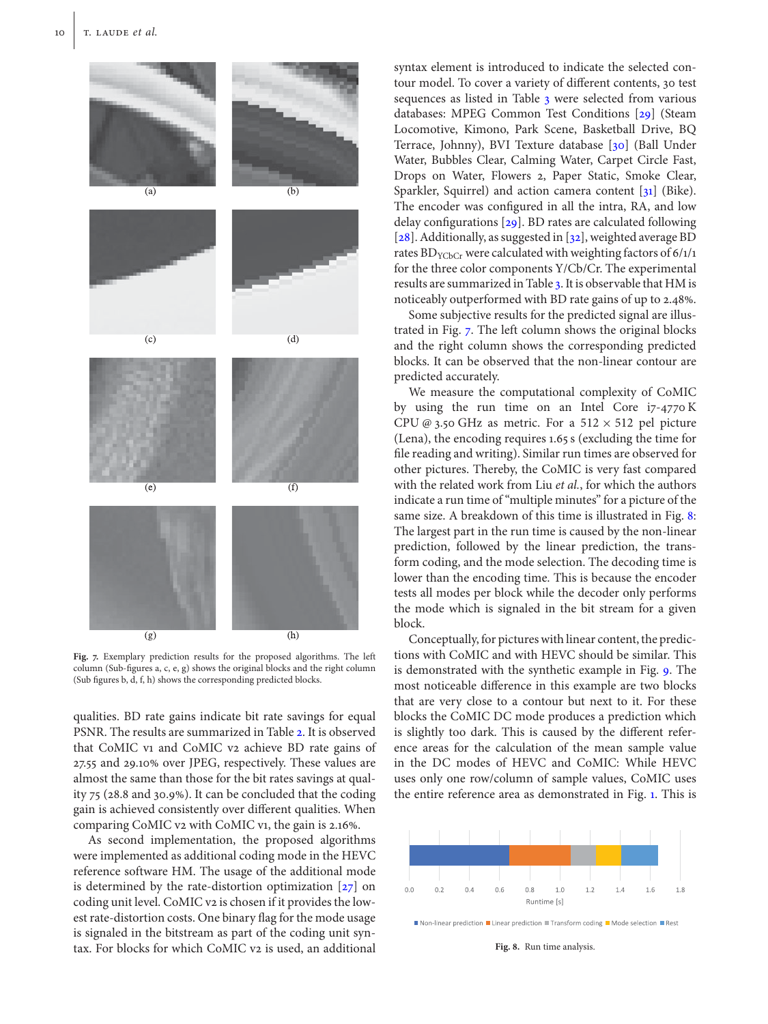

**Fig. 7.** Exemplary prediction results for the proposed algorithms. The left column (Sub-figures a, c, e, g) shows the original blocks and the right column (Sub figures b, d, f, h) shows the corresponding predicted blocks.

<span id="page-9-0"></span>qualities. BD rate gains indicate bit rate savings for equal PSNR. The results are summarized in Table [2.](#page-7-1) It is observed that CoMIC v1 and CoMIC v2 achieve BD rate gains of 27.55 and 29.10% over JPEG, respectively. These values are almost the same than those for the bit rates savings at quality 75 (28.8 and 30.9%). It can be concluded that the coding gain is achieved consistently over different qualities. When comparing CoMIC v2 with CoMIC v1, the gain is 2.16%.

As second implementation, the proposed algorithms were implemented as additional coding mode in the HEVC reference software HM. The usage of the additional mode is determined by the rate-distortion optimization  $[27]$  on coding unit level. CoMIC v2 is chosen if it provides the lowest rate-distortion costs. One binary flag for the mode usage is signaled in the bitstream as part of the coding unit syntax. For blocks for which CoMIC v2 is used, an additional syntax element is introduced to indicate the selected contour model. To cover a variety of different contents, 30 test sequences as listed in Table [3](#page-8-2) were selected from various databases: MPEG Common Test Conditions [\[29\]](#page-11-24) (Steam Locomotive, Kimono, Park Scene, Basketball Drive, BQ Terrace, Johnny), BVI Texture database [\[30\]](#page-11-25) (Ball Under Water, Bubbles Clear, Calming Water, Carpet Circle Fast, Drops on Water, Flowers 2, Paper Static, Smoke Clear, Sparkler, Squirrel) and action camera content [\[31\]](#page-11-26) (Bike). The encoder was configured in all the intra, RA, and low delay configurations [\[29\]](#page-11-24). BD rates are calculated following [ $28$ ]. Additionally, as suggested in [ $32$ ], weighted average BD rates  $BD_{YCbCr}$  were calculated with weighting factors of  $6/1/1$ for the three color components Y/Cb/Cr. The experimental results are summarized in Table [3.](#page-8-2) It is observable that HM is noticeably outperformed with BD rate gains of up to 2.48%.

Some subjective results for the predicted signal are illustrated in Fig. [7.](#page-9-0) The left column shows the original blocks and the right column shows the corresponding predicted blocks. It can be observed that the non-linear contour are predicted accurately.

We measure the computational complexity of CoMIC by using the run time on an Intel Core i7-4770 K CPU @ 3.50 GHz as metric. For a  $512 \times 512$  pel picture (Lena), the encoding requires 1.65 s (excluding the time for file reading and writing). Similar run times are observed for other pictures. Thereby, the CoMIC is very fast compared with the related work from Liu *et al.*, for which the authors indicate a run time of "multiple minutes" for a picture of the same size. A breakdown of this time is illustrated in Fig. [8:](#page-9-1) The largest part in the run time is caused by the non-linear prediction, followed by the linear prediction, the transform coding, and the mode selection. The decoding time is lower than the encoding time. This is because the encoder tests all modes per block while the decoder only performs the mode which is signaled in the bit stream for a given block.

Conceptually, for pictures with linear content, the predictions with CoMIC and with HEVC should be similar. This is demonstrated with the synthetic example in Fig. [9.](#page-10-4) The most noticeable difference in this example are two blocks that are very close to a contour but next to it. For these blocks the CoMIC DC mode produces a prediction which is slightly too dark. This is caused by the different reference areas for the calculation of the mean sample value in the DC modes of HEVC and CoMIC: While HEVC uses only one row/column of sample values, CoMIC uses the entire reference area as demonstrated in Fig. [1.](#page-2-1) This is



Non-linear prediction Linear prediction Transform coding Node selection Rest

<span id="page-9-1"></span>**Fig. 8.** Run time analysis.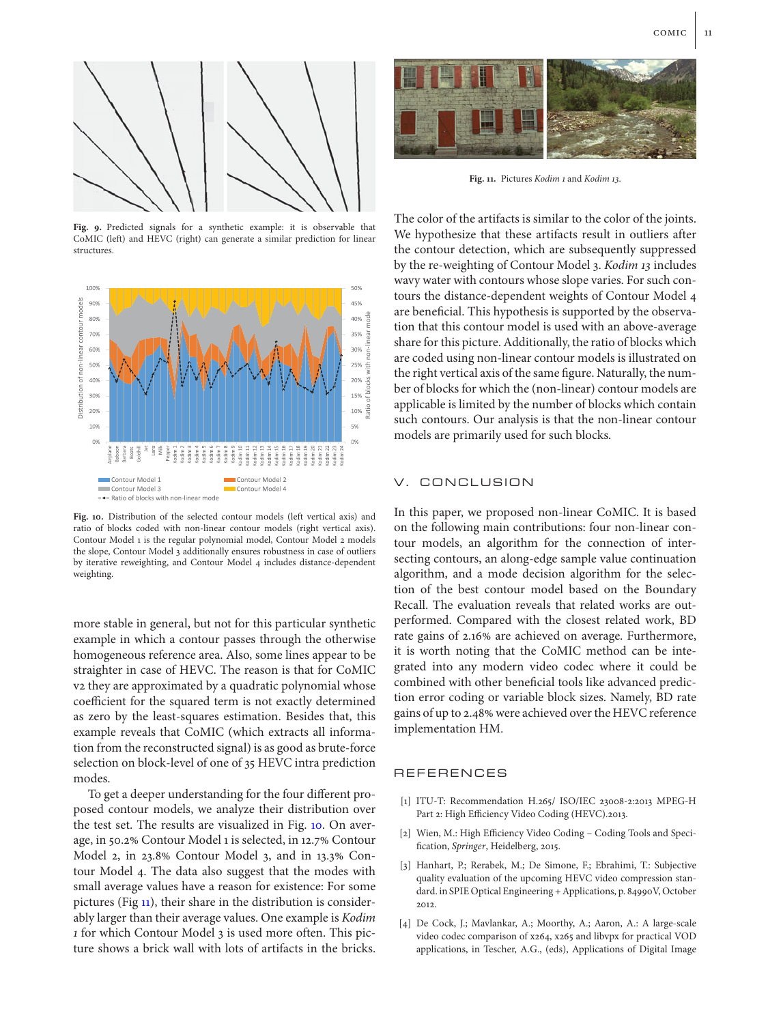

<span id="page-10-4"></span>**Fig. 9.** Predicted signals for a synthetic example: it is observable that CoMIC (left) and HEVC (right) can generate a similar prediction for linear structures.



<span id="page-10-5"></span>**Fig. 10.** Distribution of the selected contour models (left vertical axis) and ratio of blocks coded with non-linear contour models (right vertical axis). Contour Model 1 is the regular polynomial model, Contour Model 2 models the slope, Contour Model 3 additionally ensures robustness in case of outliers by iterative reweighting, and Contour Model 4 includes distance-dependent weighting.

more stable in general, but not for this particular synthetic example in which a contour passes through the otherwise homogeneous reference area. Also, some lines appear to be straighter in case of HEVC. The reason is that for CoMIC v2 they are approximated by a quadratic polynomial whose coefficient for the squared term is not exactly determined as zero by the least-squares estimation. Besides that, this example reveals that CoMIC (which extracts all information from the reconstructed signal) is as good as brute-force selection on block-level of one of 35 HEVC intra prediction modes.

To get a deeper understanding for the four different proposed contour models, we analyze their distribution over the test set. The results are visualized in Fig. [10.](#page-10-5) On average, in 50.2% Contour Model 1 is selected, in 12.7% Contour Model 2, in 23.8% Contour Model 3, and in 13.3% Contour Model 4. The data also suggest that the modes with small average values have a reason for existence: For some pictures (Fig [11\)](#page-10-6), their share in the distribution is considerably larger than their average values. One example is *Kodim 1* for which Contour Model 3 is used more often. This picture shows a brick wall with lots of artifacts in the bricks.



**Fig. 11.** Pictures *Kodim 1* and *Kodim 13*.

<span id="page-10-6"></span>The color of the artifacts is similar to the color of the joints. We hypothesize that these artifacts result in outliers after the contour detection, which are subsequently suppressed by the re-weighting of Contour Model 3. *Kodim 13* includes wavy water with contours whose slope varies. For such contours the distance-dependent weights of Contour Model 4 are beneficial. This hypothesis is supported by the observation that this contour model is used with an above-average share for this picture. Additionally, the ratio of blocks which are coded using non-linear contour models is illustrated on the right vertical axis of the same figure. Naturally, the number of blocks for which the (non-linear) contour models are applicable is limited by the number of blocks which contain such contours. Our analysis is that the non-linear contour models are primarily used for such blocks.

#### V. CONCLUSION

In this paper, we proposed non-linear CoMIC. It is based on the following main contributions: four non-linear contour models, an algorithm for the connection of intersecting contours, an along-edge sample value continuation algorithm, and a mode decision algorithm for the selection of the best contour model based on the Boundary Recall. The evaluation reveals that related works are outperformed. Compared with the closest related work, BD rate gains of 2.16% are achieved on average. Furthermore, it is worth noting that the CoMIC method can be integrated into any modern video codec where it could be combined with other beneficial tools like advanced prediction error coding or variable block sizes. Namely, BD rate gains of up to 2.48% were achieved over the HEVC reference implementation HM.

#### REFERENCES

- <span id="page-10-0"></span>[1] ITU-T: Recommendation H.265/ ISO/IEC 23008-2:2013 MPEG-H Part 2: High Efficiency Video Coding (HEVC).2013.
- <span id="page-10-1"></span>[2] Wien, M.: High Efficiency Video Coding – Coding Tools and Specification, *Springer*, Heidelberg, 2015.
- <span id="page-10-2"></span>[3] Hanhart, P.; Rerabek, M.; De Simone, F.; Ebrahimi, T.: Subjective quality evaluation of the upcoming HEVC video compression standard. in SPIE Optical Engineering + Applications, p. 84990V, October 2012.
- <span id="page-10-3"></span>[4] De Cock, J.; Mavlankar, A.; Moorthy, A.; Aaron, A.: A large-scale video codec comparison of x264, x265 and libvpx for practical VOD applications, in Tescher, A.G., (eds), Applications of Digital Image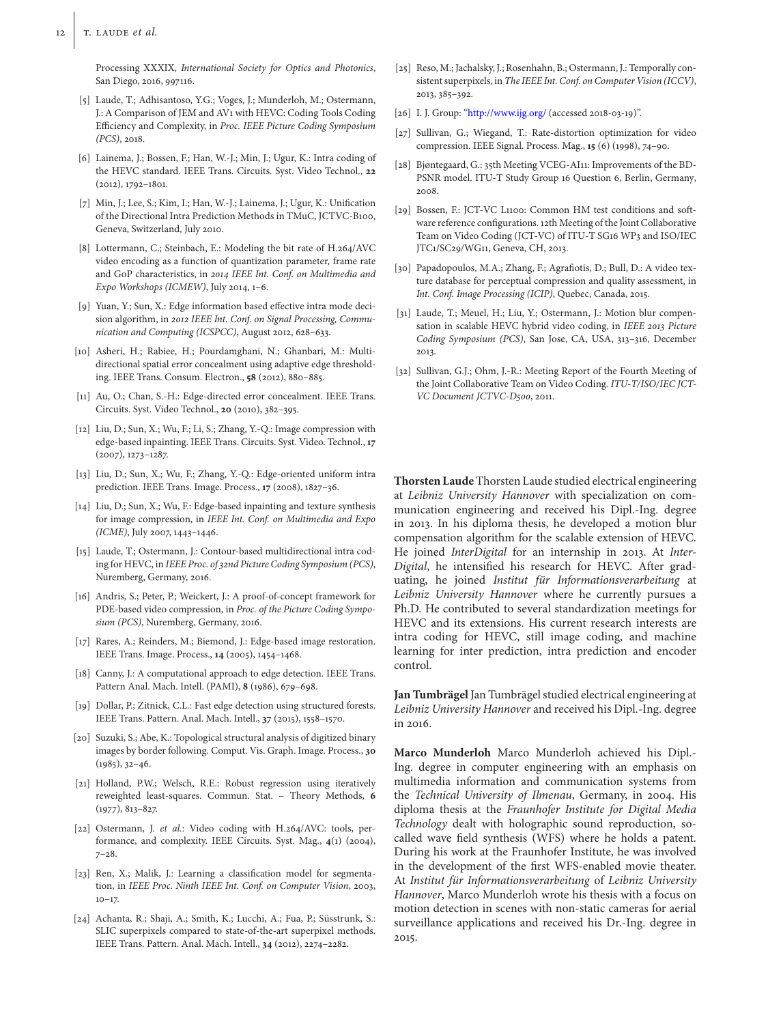Processing XXXIX, *International Society for Optics and Photonics*, San Diego, 2016, 997116.

- <span id="page-11-0"></span>[5] Laude, T.; Adhisantoso, Y.G.; Voges, J.; Munderloh, M.; Ostermann, J.: A Comparison of JEM and AV1 with HEVC: Coding Tools Coding Efficiency and Complexity, in *Proc. IEEE Picture Coding Symposium (PCS)*, 2018.
- <span id="page-11-1"></span>[6] Lainema, J.; Bossen, F.; Han, W.-J.; Min, J.; Ugur, K.: Intra coding of the HEVC standard. IEEE Trans. Circuits. Syst. Video Technol., **22** (2012), 1792–1801.
- <span id="page-11-2"></span>[7] Min, J.; Lee, S.; Kim, I.; Han, W.-J.; Lainema, J.; Ugur, K.: Unification of the Directional Intra Prediction Methods in TMuC, JCTVC-B100, Geneva, Switzerland, July 2010.
- <span id="page-11-3"></span>[8] Lottermann, C.; Steinbach, E.: Modeling the bit rate of H.264/AVC video encoding as a function of quantization parameter, frame rate and GoP characteristics, in *2014 IEEE Int. Conf. on Multimedia and Expo Workshops (ICMEW)*, July 2014, 1–6.
- <span id="page-11-4"></span>[9] Yuan, Y.; Sun, X.: Edge information based effective intra mode decision algorithm, in *2012 IEEE Int. Conf. on Signal Processing, Communication and Computing (ICSPCC)*, August 2012, 628–633.
- <span id="page-11-5"></span>[10] Asheri, H.; Rabiee, H.; Pourdamghani, N.; Ghanbari, M.: Multidirectional spatial error concealment using adaptive edge thresholding. IEEE Trans. Consum. Electron., **58** (2012), 880–885.
- <span id="page-11-6"></span>[11] Au, O.; Chan, S.-H.: Edge-directed error concealment. IEEE Trans. Circuits. Syst. Video Technol., **20** (2010), 382–395.
- <span id="page-11-7"></span>[12] Liu, D.; Sun, X.; Wu, F.; Li, S.; Zhang, Y.-Q.: Image compression with edge-based inpainting. IEEE Trans. Circuits. Syst. Video. Technol., **17** (2007), 1273–1287.
- <span id="page-11-8"></span>[13] Liu, D.; Sun, X.; Wu, F.; Zhang, Y.-Q.: Edge-oriented uniform intra prediction. IEEE Trans. Image. Process., **17** (2008), 1827–36.
- <span id="page-11-9"></span>[14] Liu, D.; Sun, X.; Wu, F.: Edge-based inpainting and texture synthesis for image compression, in *IEEE Int. Conf. on Multimedia and Expo (ICME)*, July 2007, 1443–1446.
- <span id="page-11-10"></span>[15] Laude, T.; Ostermann, J.: Contour-based multidirectional intra coding for HEVC, in *IEEE Proc. of 32nd Picture Coding Symposium (PCS)*, Nuremberg, Germany, 2016.
- <span id="page-11-11"></span>[16] Andris, S.; Peter, P.; Weickert, J.: A proof-of-concept framework for PDE-based video compression, in *Proc. of the Picture Coding Symposium (PCS)*, Nuremberg, Germany, 2016.
- <span id="page-11-12"></span>[17] Rares, A.; Reinders, M.; Biemond, J.: Edge-based image restoration. IEEE Trans. Image. Process., **14** (2005), 1454–1468.
- <span id="page-11-13"></span>[18] Canny, J.: A computational approach to edge detection. IEEE Trans. Pattern Anal. Mach. Intell. (PAMI), **8** (1986), 679–698.
- <span id="page-11-14"></span>[19] Dollar, P.; Zitnick, C.L.: Fast edge detection using structured forests. IEEE Trans. Pattern. Anal. Mach. Intell., **37** (2015), 1558–1570.
- <span id="page-11-15"></span>[20] Suzuki, S.; Abe, K.: Topological structural analysis of digitized binary images by border following. Comput. Vis. Graph. Image. Process., **30** (1985), 32–46.
- <span id="page-11-16"></span>[21] Holland, P.W.; Welsch, R.E.: Robust regression using iteratively reweighted least-squares. Commun. Stat. – Theory Methods, **6** (1977), 813–827.
- <span id="page-11-17"></span>[22] Ostermann, J. *et al.*: Video coding with H.264/AVC: tools, performance, and complexity. IEEE Circuits. Syst. Mag., **4**(1) (2004), 7–28.
- <span id="page-11-18"></span>[23] Ren, X.; Malik, J.: Learning a classification model for segmentation, in *IEEE Proc. Ninth IEEE Int. Conf. on Computer Vision*, 2003,  $10-17.$
- <span id="page-11-19"></span>[24] Achanta, R.; Shaji, A.; Smith, K.; Lucchi, A.; Fua, P.; Süsstrunk, S.: SLIC superpixels compared to state-of-the-art superpixel methods. IEEE Trans. Pattern. Anal. Mach. Intell., **34** (2012), 2274–2282.
- <span id="page-11-20"></span>[25] Reso, M.; Jachalsky, J.; Rosenhahn, B.; Ostermann, J.: Temporally consistent superpixels, in *The IEEE Int. Conf. on Computer Vision (ICCV)*, 2013, 385–392.
- <span id="page-11-22"></span><span id="page-11-21"></span>[26] I. J. Group: ["http://www.ijg.org/](http://www.ijg.org/) (accessed 2018-03-19)".
- [27] Sullivan, G.; Wiegand, T.: Rate-distortion optimization for video compression. IEEE Signal. Process. Mag., **15** (6) (1998), 74–90.
- <span id="page-11-23"></span>[28] Bjøntegaard, G.: 35th Meeting VCEG-AI11: Improvements of the BD-PSNR model. ITU-T Study Group 16 Question 6, Berlin, Germany, 2008.
- <span id="page-11-24"></span>[29] Bossen, F.: JCT-VC L1100: Common HM test conditions and software reference configurations. 12th Meeting of the Joint Collaborative Team on Video Coding (JCT-VC) of ITU-T SG16 WP3 and ISO/IEC JTC1/SC29/WG11, Geneva, CH, 2013.
- <span id="page-11-25"></span>[30] Papadopoulos, M.A.; Zhang, F.; Agrafiotis, D.; Bull, D.: A video texture database for perceptual compression and quality assessment, in *Int. Conf. Image Processing (ICIP)*, Quebec, Canada, 2015.
- <span id="page-11-26"></span>[31] Laude, T.; Meuel, H.; Liu, Y.; Ostermann, J.: Motion blur compensation in scalable HEVC hybrid video coding, in *IEEE 2013 Picture Coding Symposium (PCS)*, San Jose, CA, USA, 313–316, December 2013.
- <span id="page-11-27"></span>[32] Sullivan, G.J.; Ohm, J.-R.: Meeting Report of the Fourth Meeting of the Joint Collaborative Team on Video Coding. *ITU-T/ISO/IEC JCT-VC Document JCTVC-D500*, 2011.

**Thorsten Laude** Thorsten Laude studied electrical engineering at *Leibniz University Hannover* with specialization on communication engineering and received his Dipl.-Ing. degree in 2013. In his diploma thesis, he developed a motion blur compensation algorithm for the scalable extension of HEVC. He joined *InterDigital* for an internship in 2013. At *Inter-Digital*, he intensified his research for HEVC. After graduating, he joined *Institut für Informationsverarbeitung* at *Leibniz University Hannover* where he currently pursues a Ph.D. He contributed to several standardization meetings for HEVC and its extensions. His current research interests are intra coding for HEVC, still image coding, and machine learning for inter prediction, intra prediction and encoder control.

**Jan Tumbrägel** Jan Tumbrägel studied electrical engineering at *Leibniz University Hannover* and received his Dipl.-Ing. degree in 2016.

**Marco Munderloh** Marco Munderloh achieved his Dipl.- Ing. degree in computer engineering with an emphasis on multimedia information and communication systems from the *Technical University of Ilmenau*, Germany, in 2004. His diploma thesis at the *Fraunhofer Institute for Digital Media Technology* dealt with holographic sound reproduction, socalled wave field synthesis (WFS) where he holds a patent. During his work at the Fraunhofer Institute, he was involved in the development of the first WFS-enabled movie theater. At *Institut für Informationsverarbeitung* of *Leibniz University Hannover*, Marco Munderloh wrote his thesis with a focus on motion detection in scenes with non-static cameras for aerial surveillance applications and received his Dr.-Ing. degree in 2015.